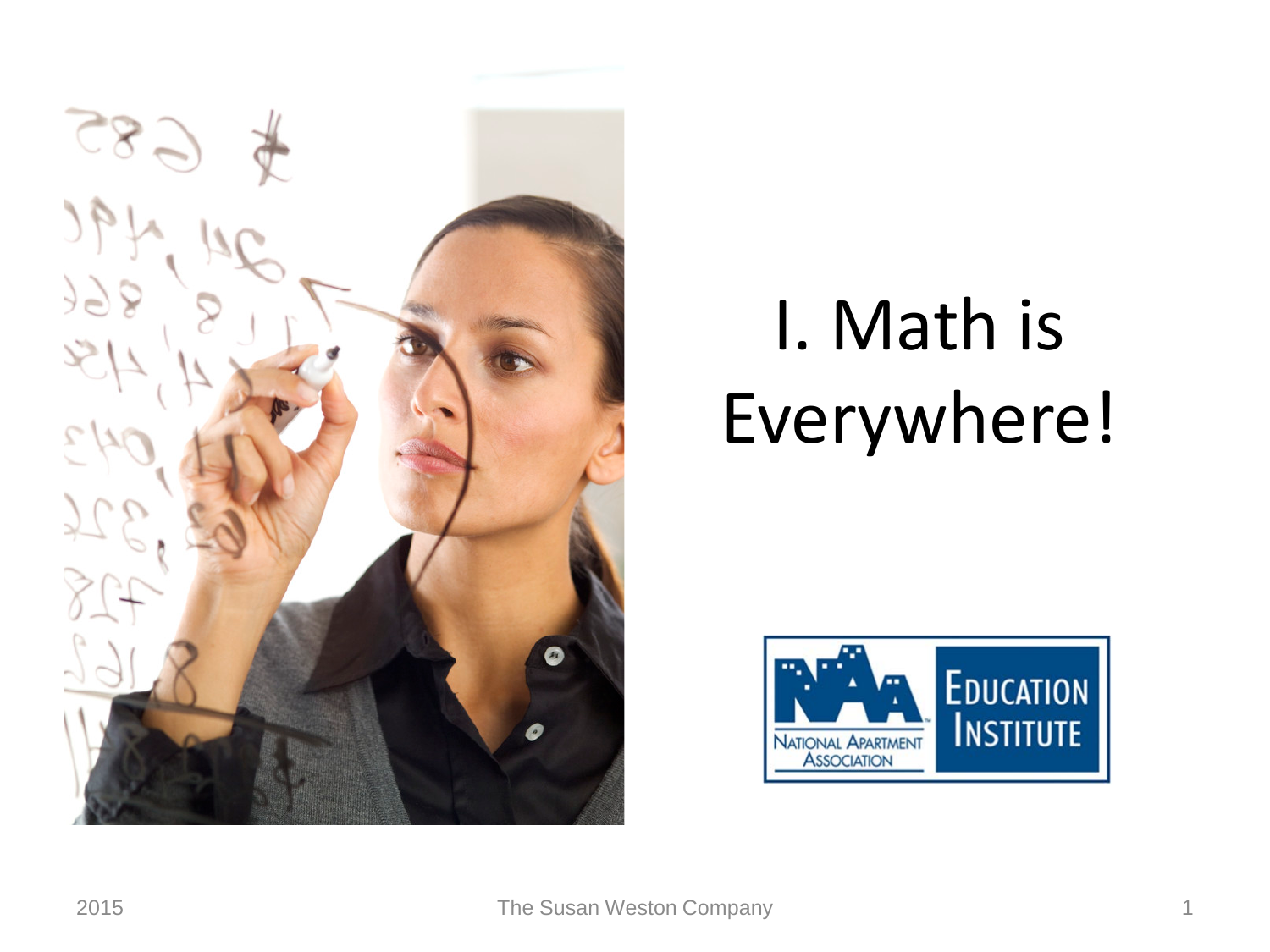

## I. Math is Everywhere!

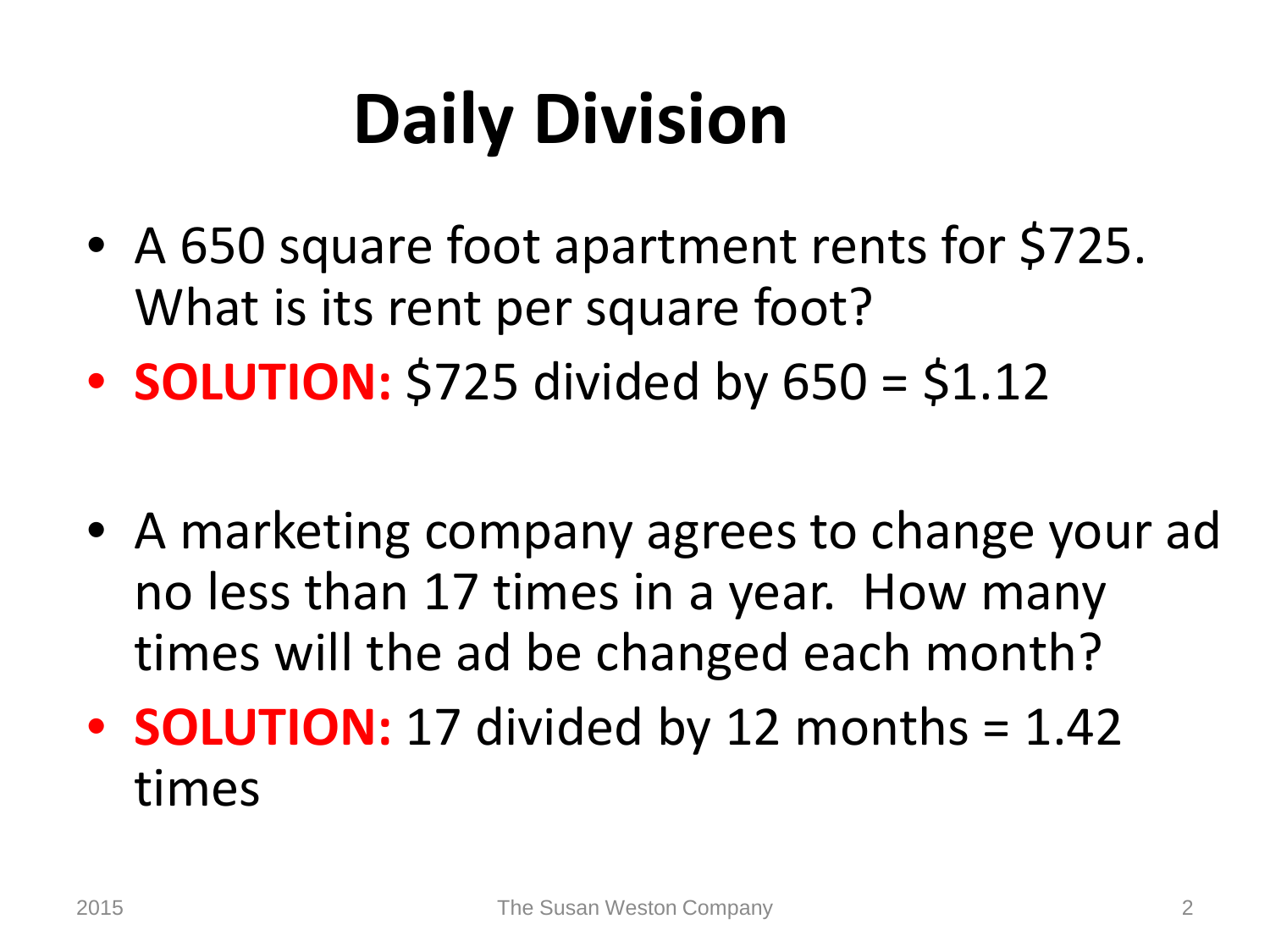## **Daily Division**

- A 650 square foot apartment rents for \$725. What is its rent per square foot?
- **SOLUTION:** \$725 divided by 650 = \$1.12
- A marketing company agrees to change your ad no less than 17 times in a year. How many times will the ad be changed each month?
- **SOLUTION:** 17 divided by 12 months = 1.42 times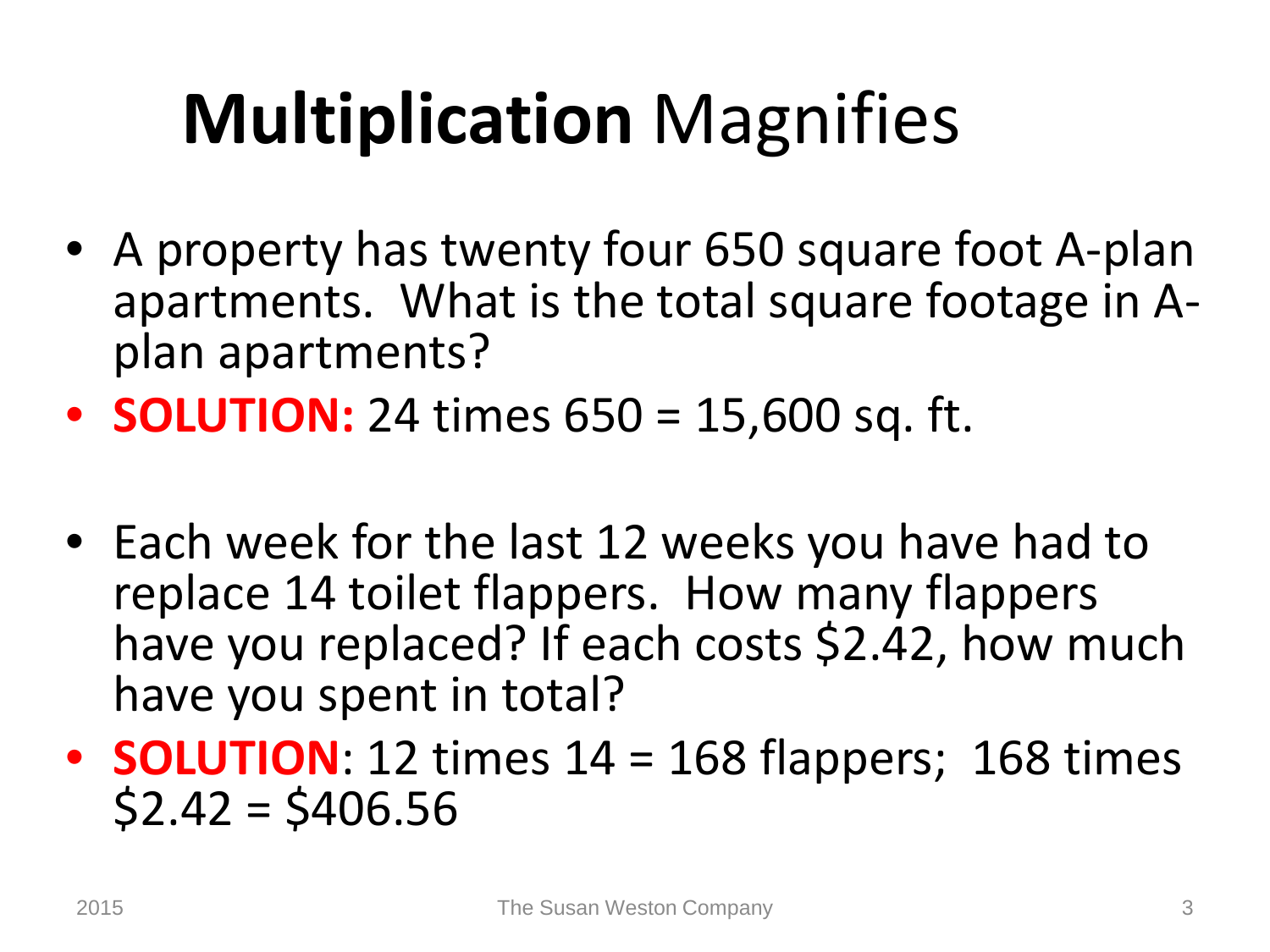## **Multiplication** Magnifies

- A property has twenty four 650 square foot A-plan apartments. What is the total square footage in A- plan apartments?
- **SOLUTION:** 24 times 650 = 15,600 sq. ft.
- Each week for the last 12 weeks you have had to replace 14 toilet flappers. How many flappers have you replaced? If each costs \$2.42, how much have you spent in total?
- **SOLUTION**: 12 times 14 = 168 flappers; 168 times  $$2.42 = $406.56$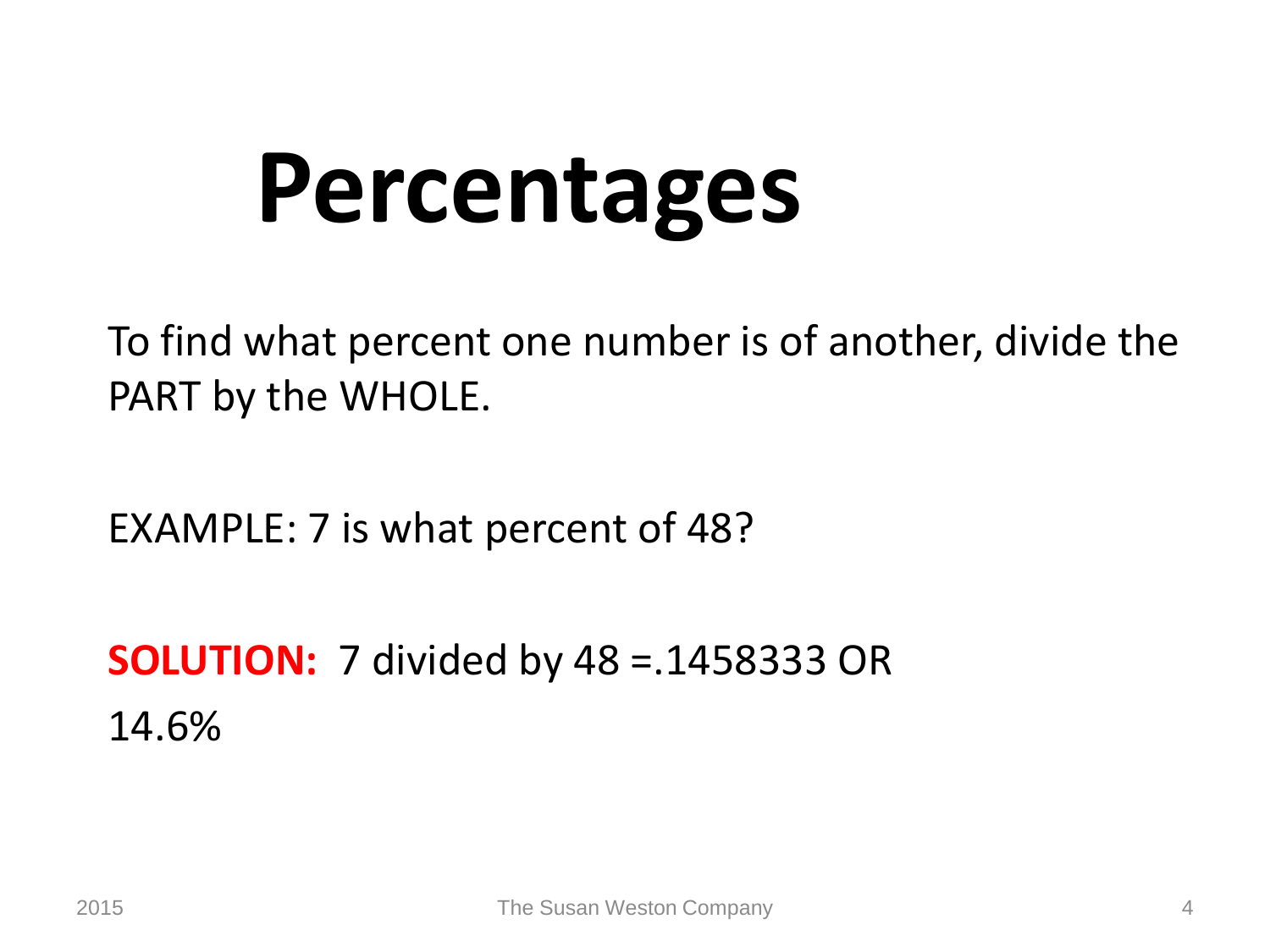# **Percentages**

To find what percent one number is of another, divide the PART by the WHOLE.

EXAMPLE: 7 is what percent of 48?

**SOLUTION:** 7 divided by 48 =.1458333 OR 14.6%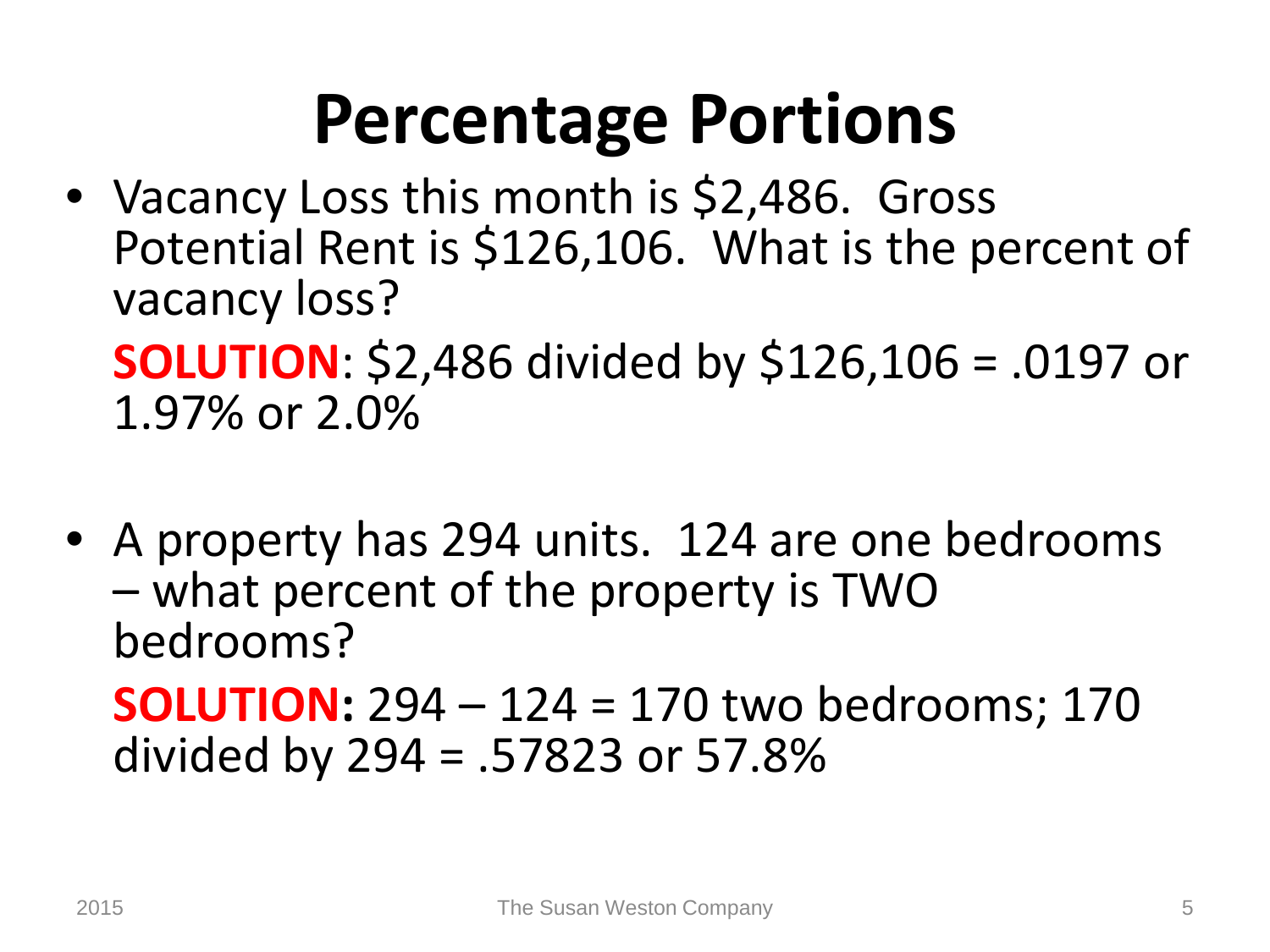### **Percentage Portions**

• Vacancy Loss this month is \$2,486. Gross Potential Rent is \$126,106. What is the percent of vacancy loss?

**SOLUTION**: \$2,486 divided by \$126,106 = .0197 or 1.97% or 2.0%

• A property has 294 units. 124 are one bedrooms – what percent of the property is TWO bedrooms?

**SOLUTION:** 294 – 124 = 170 two bedrooms; 170 divided by 294 = .57823 or 57.8%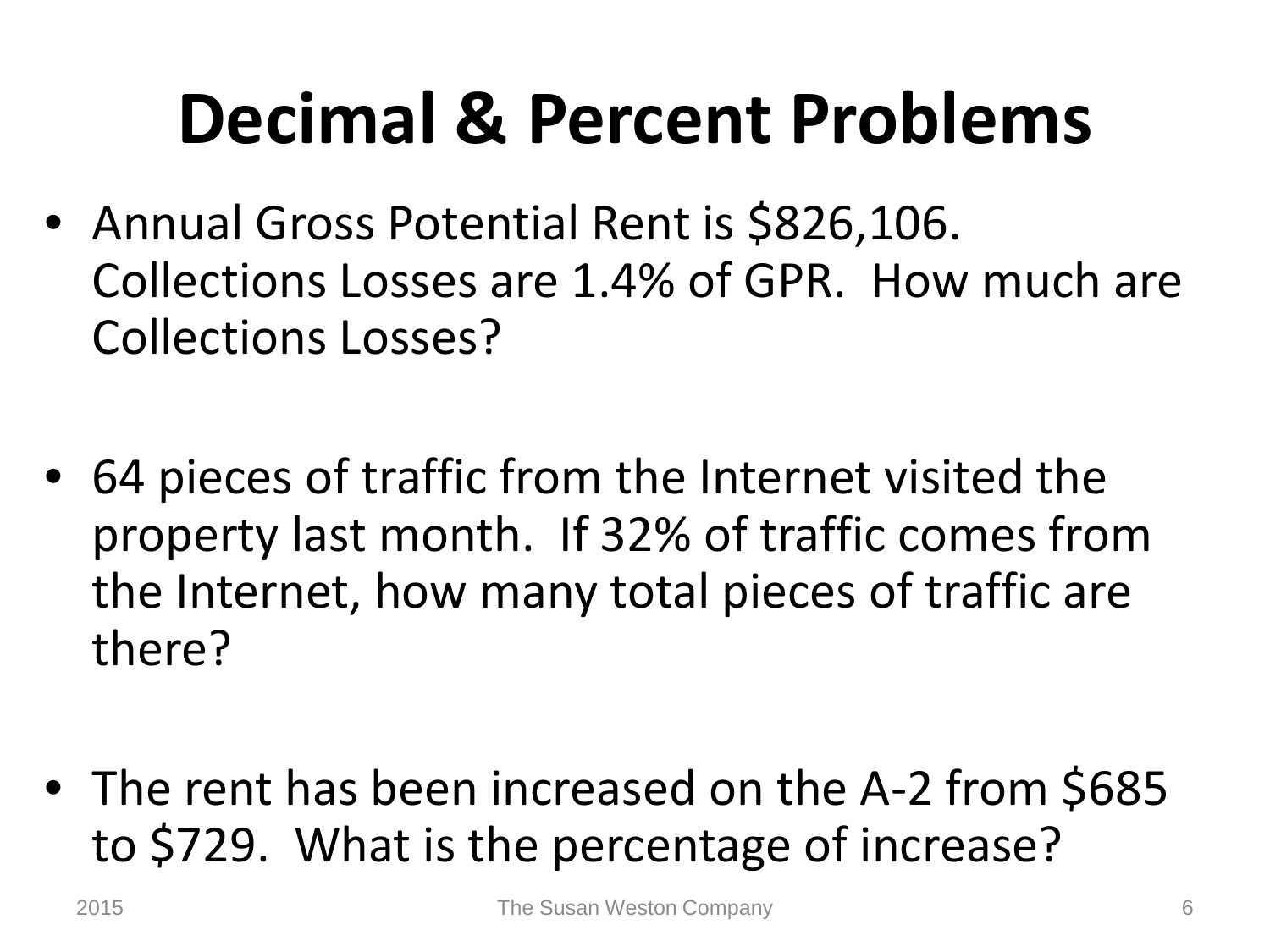### **Decimal & Percent Problems**

- Annual Gross Potential Rent is \$826,106. Collections Losses are 1.4% of GPR. How much are Collections Losses?
- 64 pieces of traffic from the Internet visited the property last month. If 32% of traffic comes from the Internet, how many total pieces of traffic are there?
- The rent has been increased on the A-2 from \$685 to \$729. What is the percentage of increase?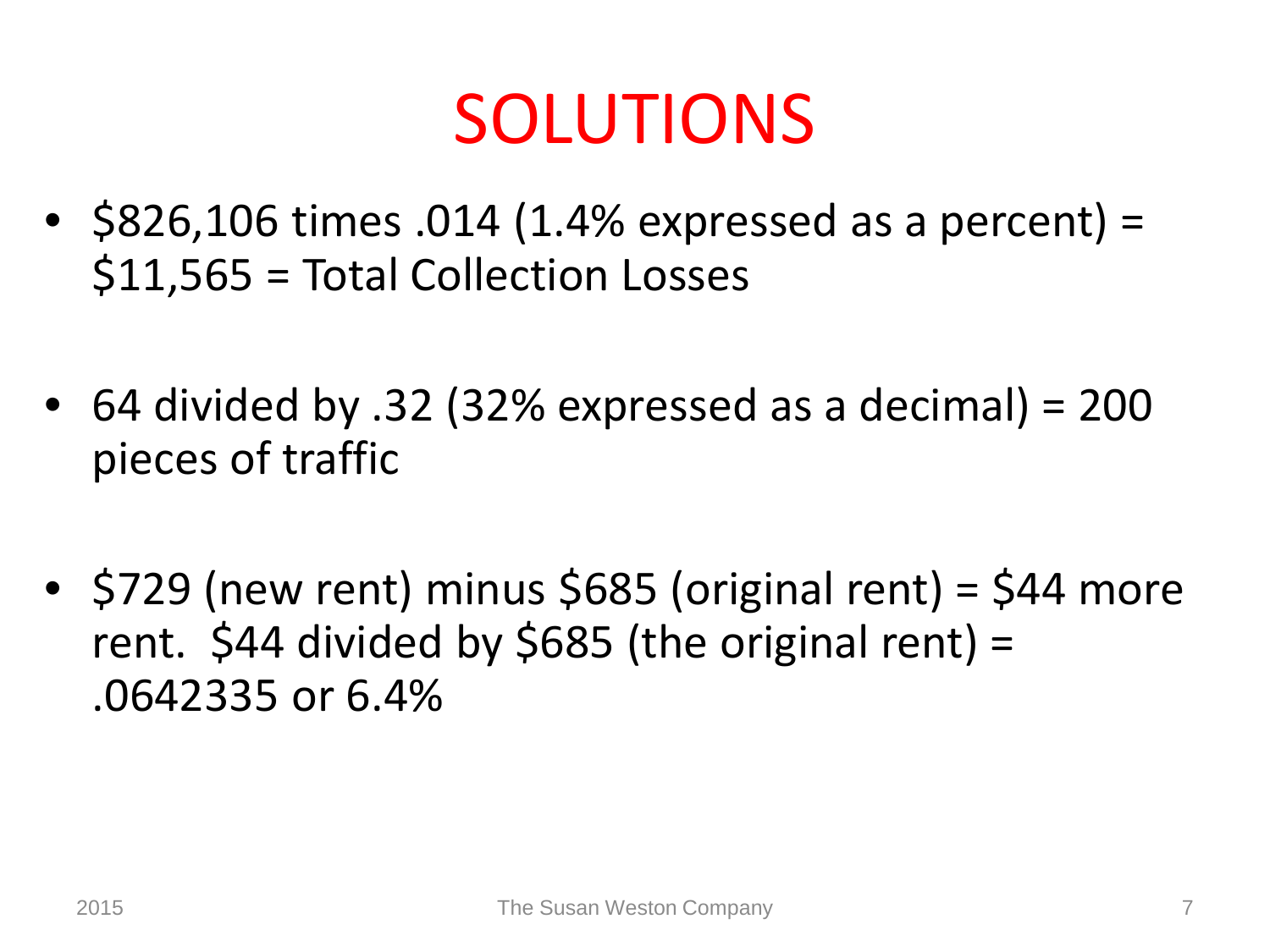#### SOLUTIONS

- $$826,106 \text{ times } .014$  (1.4% expressed as a percent) = \$11,565 = Total Collection Losses
- 64 divided by .32 (32% expressed as a decimal) = 200 pieces of traffic
- $$729$  (new rent) minus \$685 (original rent) = \$44 more rent.  $$44$  divided by  $$685$  (the original rent) = .0642335 or 6.4%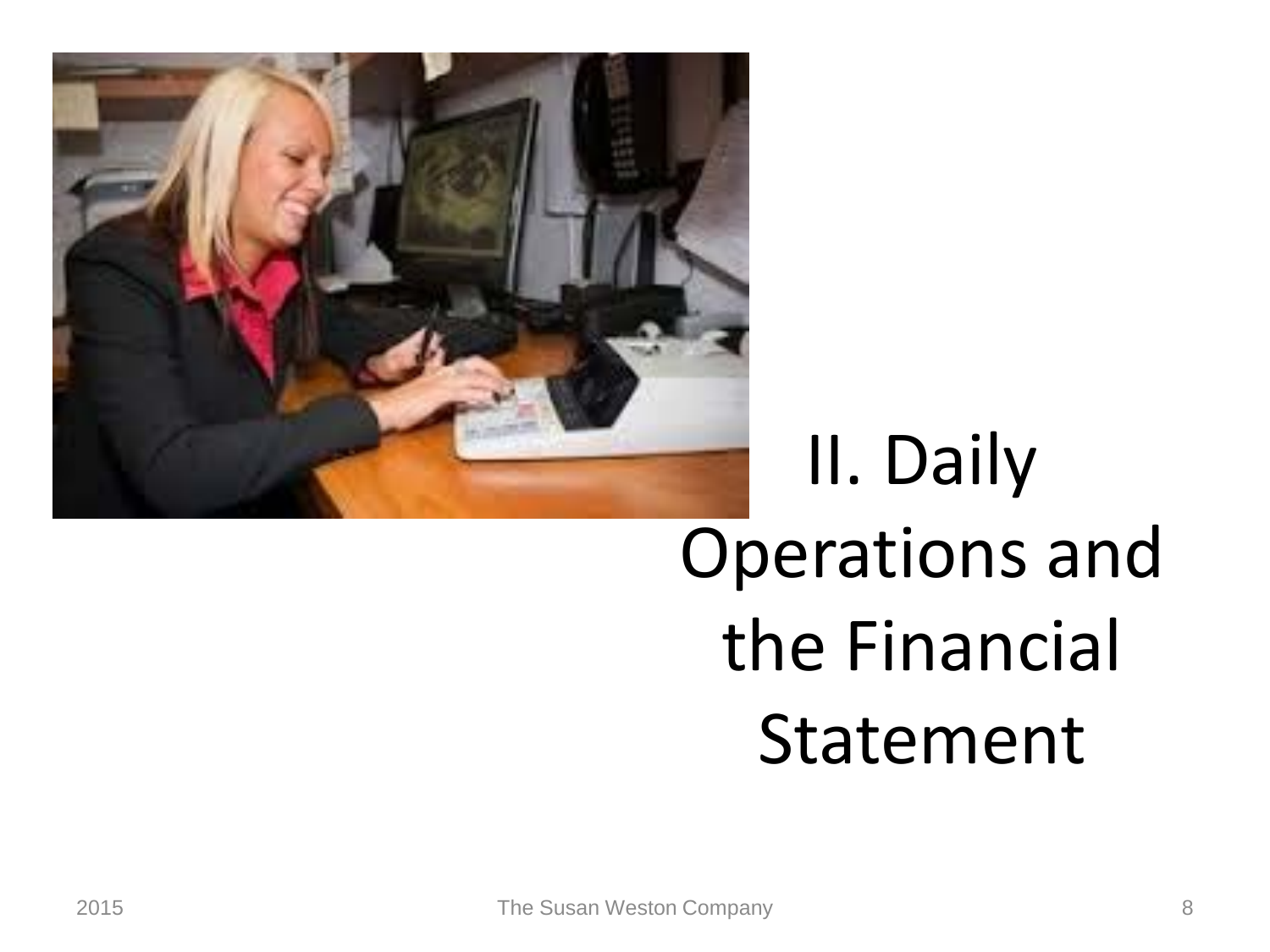

## II. Daily Operations and the Financial Statement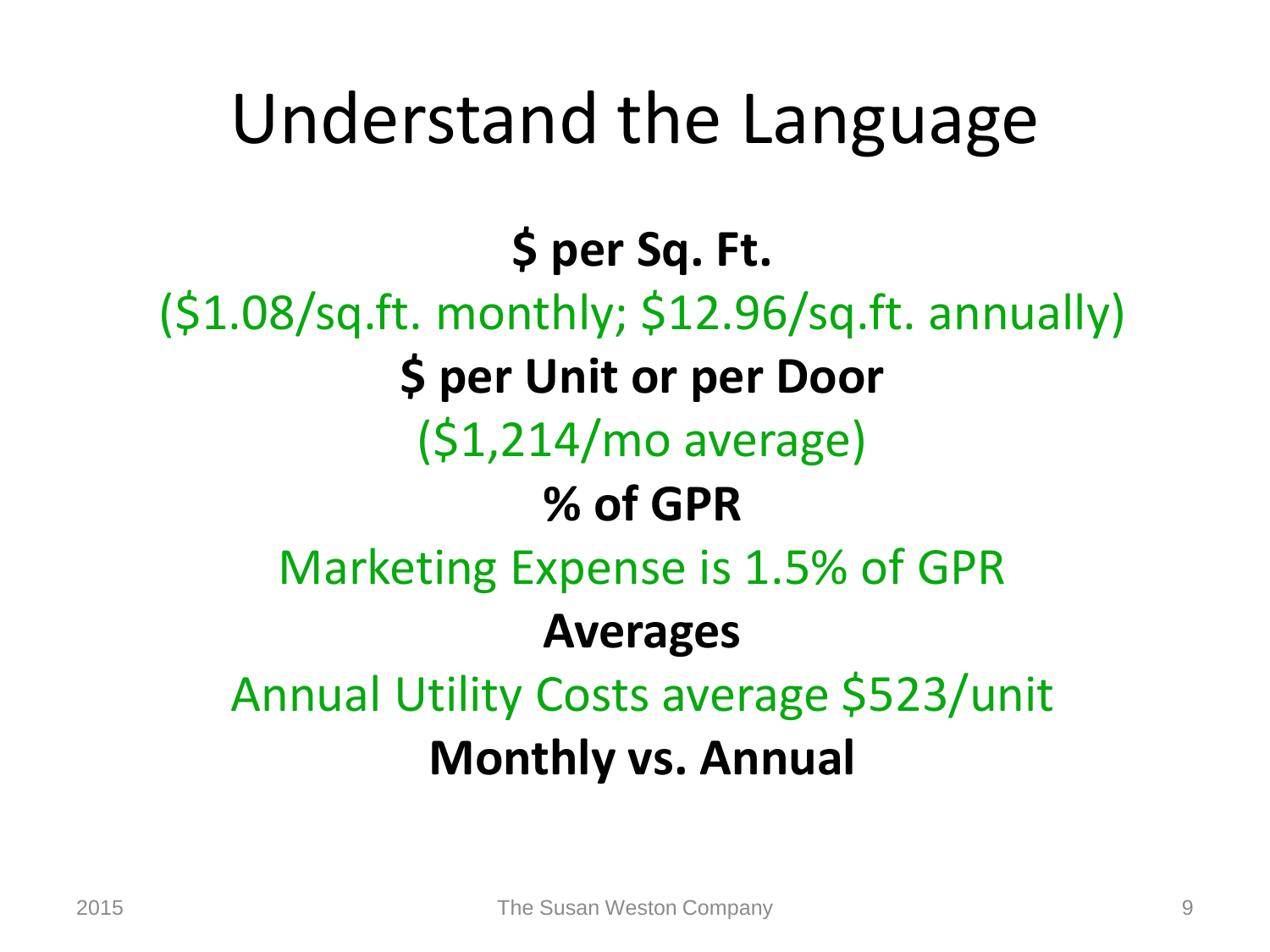#### Understand the Language

#### **\$ per Sq. Ft.**

(\$1.08/sq.ft. monthly; \$12.96/sq.ft. annually) **\$ per Unit or per Door** (\$1,214/mo average) **% of GPR** Marketing Expense is 1.5% of GPR **Averages** Annual Utility Costs average \$523/unit **Monthly vs. Annual**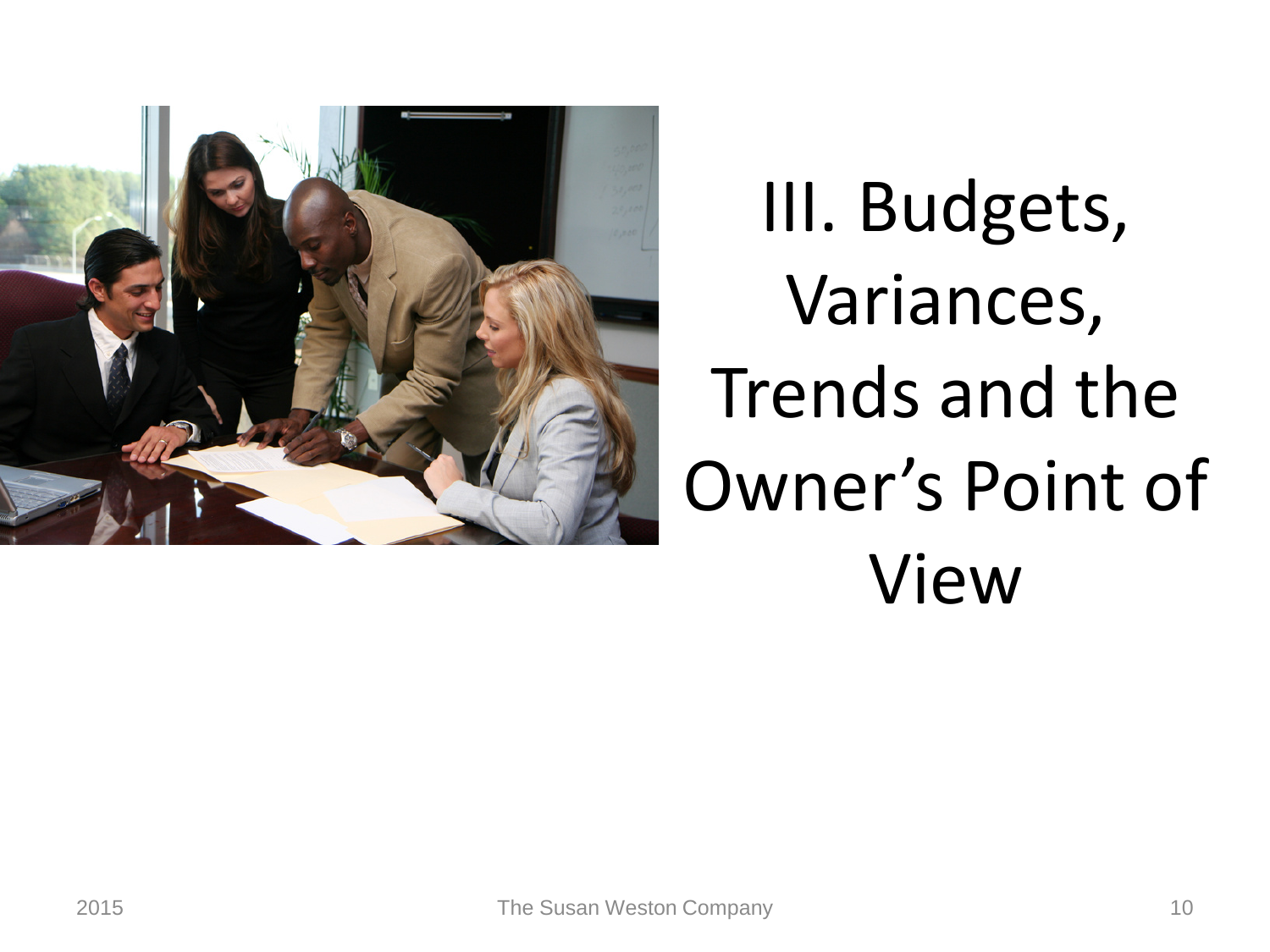

III. Budgets, Variances, Trends and the Owner's Point of View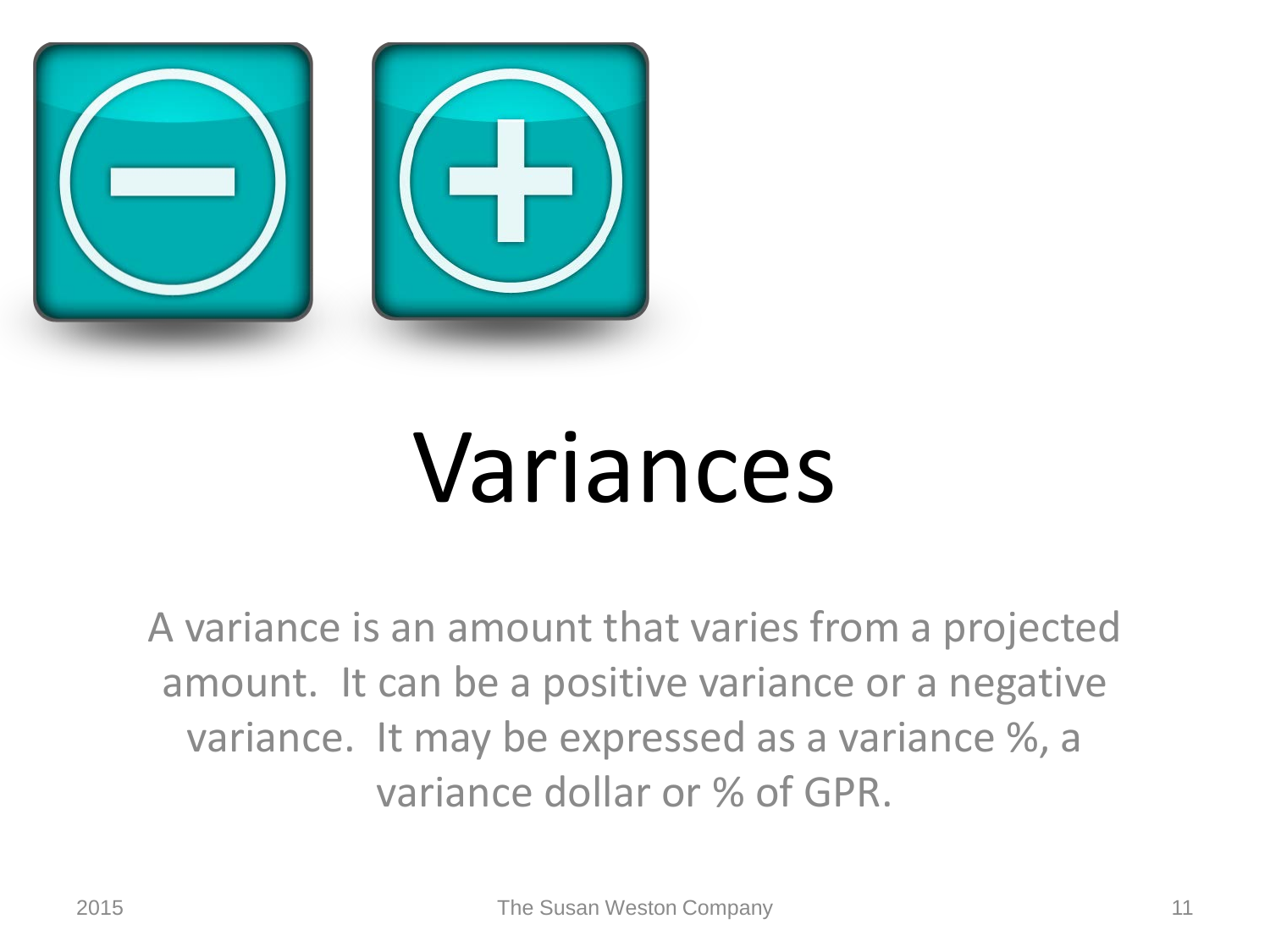

## Variances

A variance is an amount that varies from a projected amount. It can be a positive variance or a negative variance. It may be expressed as a variance %, a variance dollar or % of GPR.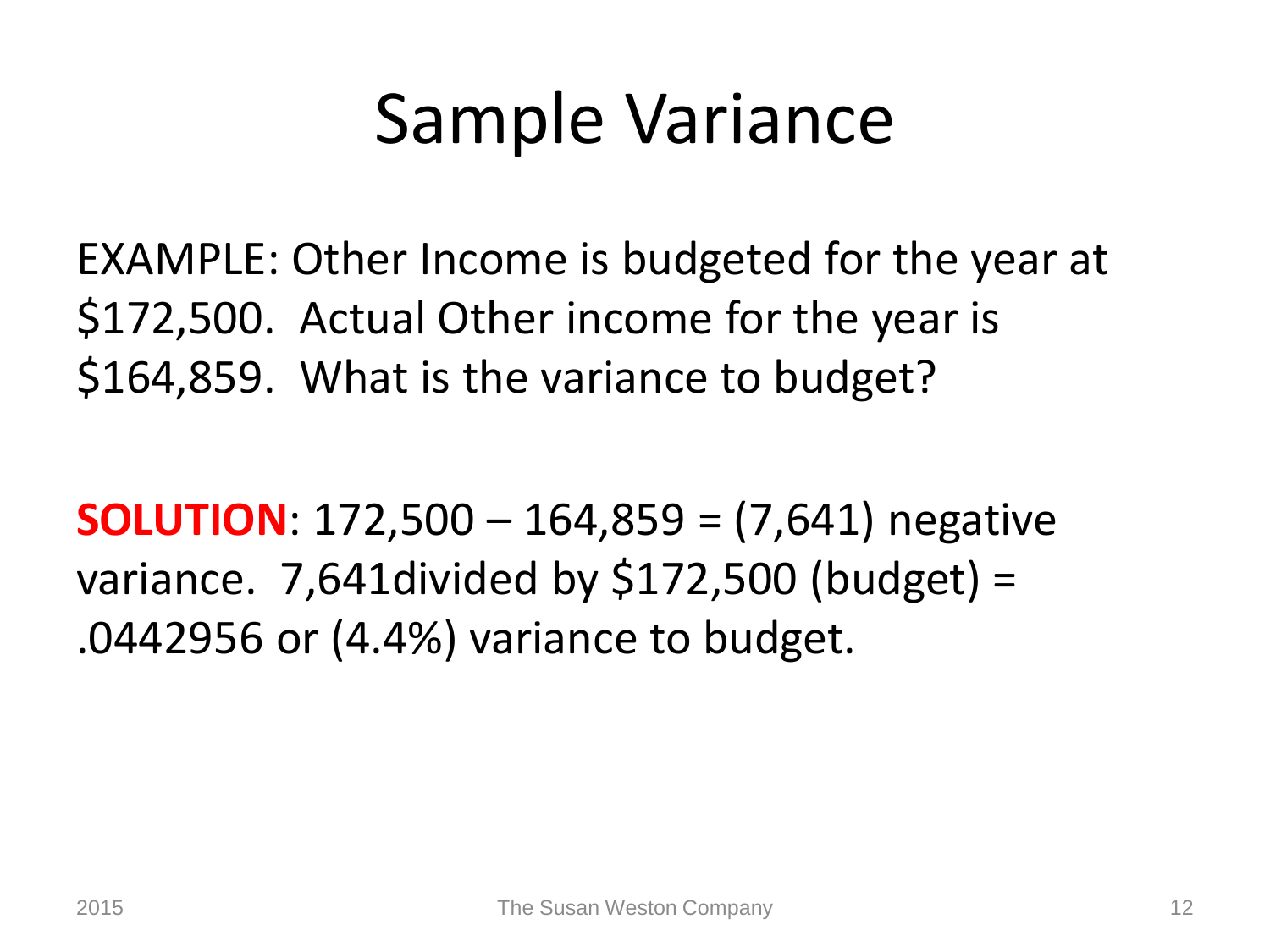#### Sample Variance

EXAMPLE: Other Income is budgeted for the year at \$172,500. Actual Other income for the year is \$164,859. What is the variance to budget?

**SOLUTION**: 172,500 – 164,859 = (7,641) negative variance. 7,641divided by \$172,500 (budget) = .0442956 or (4.4%) variance to budget.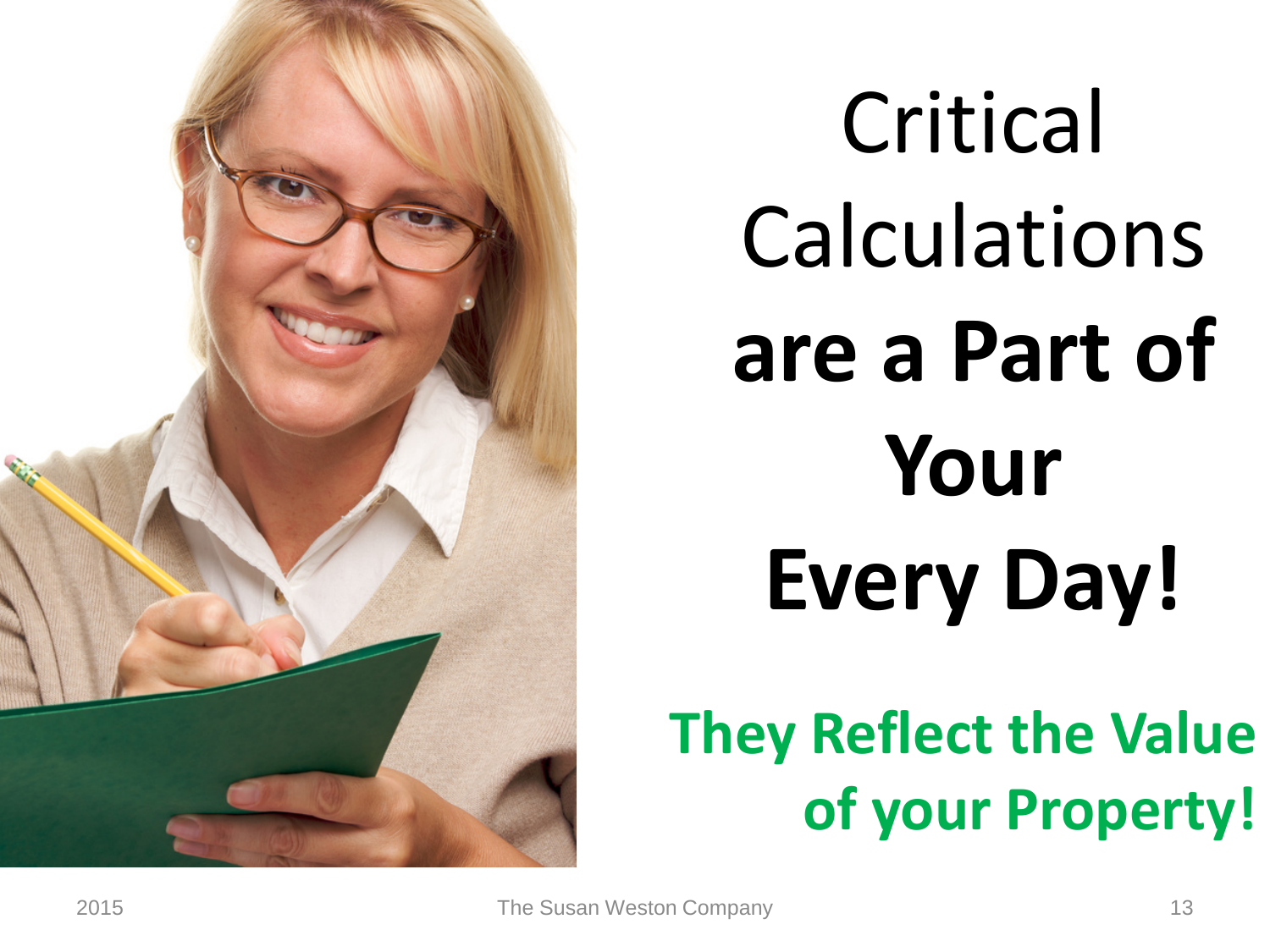

Critical Calculations **are a Part of Your Every Day!**

#### **They Reflect the Value of your Property!**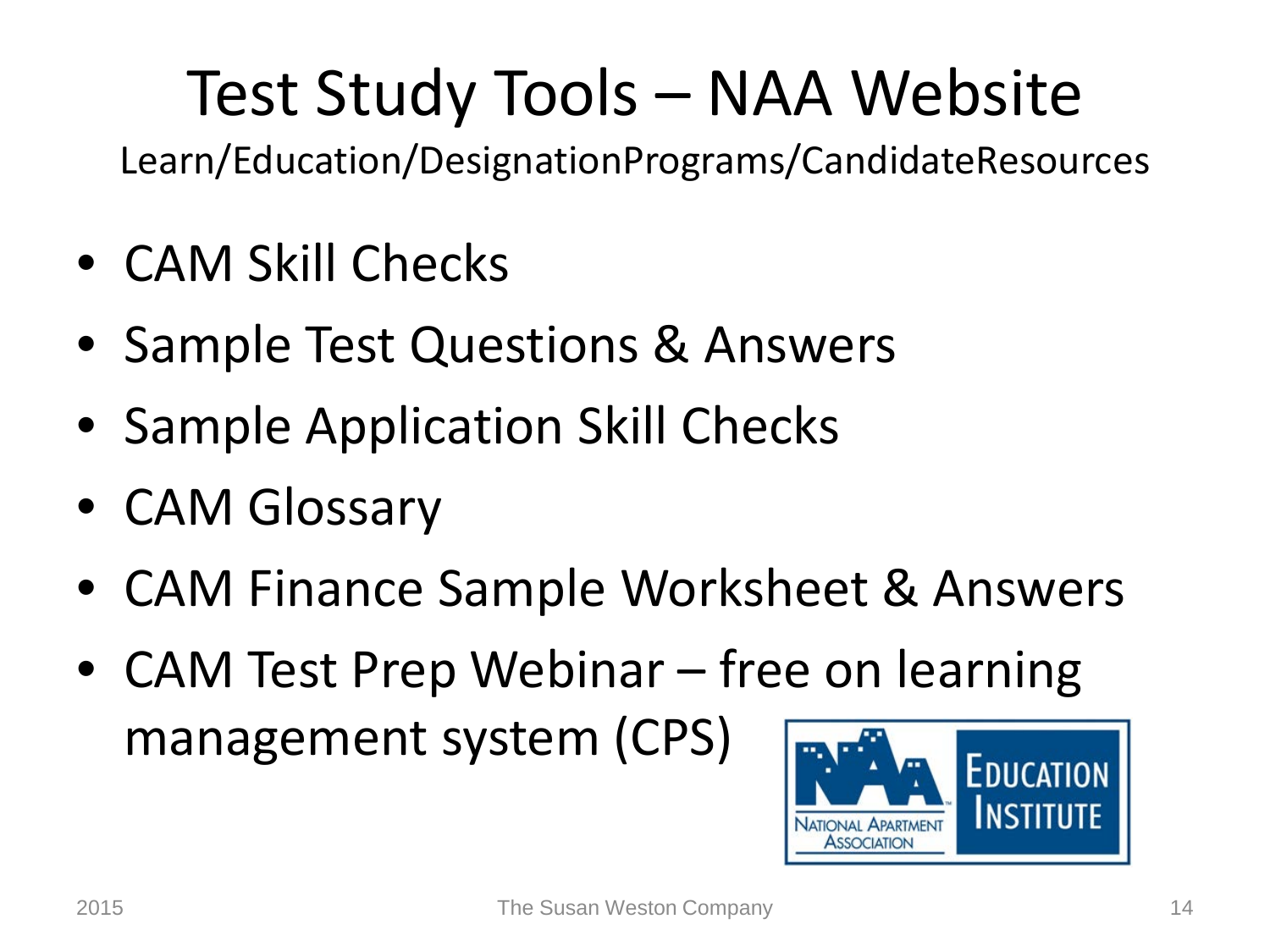#### Test Study Tools – NAA Website

Learn/Education/DesignationPrograms/CandidateResources

- CAM Skill Checks
- Sample Test Questions & Answers
- Sample Application Skill Checks
- CAM Glossary
- CAM Finance Sample Worksheet & Answers
- CAM Test Prep Webinar free on learning management system (CPS)